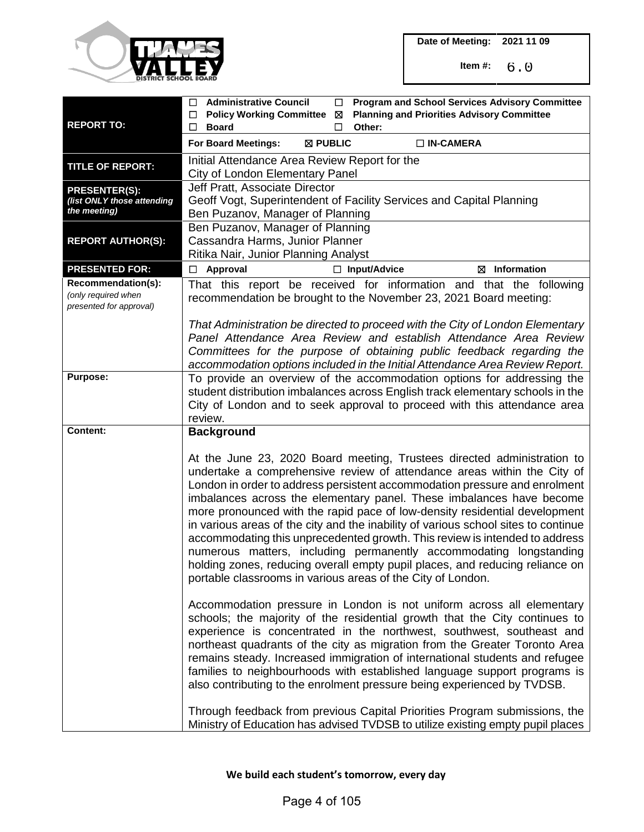

| <b>REPORT TO:</b>                                                    | <b>Administrative Council</b><br><b>Program and School Services Advisory Committee</b><br>□<br>$\Box$<br><b>Policy Working Committee</b><br><b>Planning and Priorities Advisory Committee</b><br>□<br>⊠<br>Other:<br>□<br><b>Board</b><br>$\Box$                                                                                                                                                                                                                                                                                                                                                                                                                                                                                                                                 |
|----------------------------------------------------------------------|----------------------------------------------------------------------------------------------------------------------------------------------------------------------------------------------------------------------------------------------------------------------------------------------------------------------------------------------------------------------------------------------------------------------------------------------------------------------------------------------------------------------------------------------------------------------------------------------------------------------------------------------------------------------------------------------------------------------------------------------------------------------------------|
|                                                                      | For Board Meetings:<br>⊠ PUBLIC<br>$\Box$ IN-CAMERA                                                                                                                                                                                                                                                                                                                                                                                                                                                                                                                                                                                                                                                                                                                              |
| <b>TITLE OF REPORT:</b>                                              | Initial Attendance Area Review Report for the<br>City of London Elementary Panel                                                                                                                                                                                                                                                                                                                                                                                                                                                                                                                                                                                                                                                                                                 |
| <b>PRESENTER(S):</b><br>(list ONLY those attending<br>the meeting)   | Jeff Pratt, Associate Director<br>Geoff Vogt, Superintendent of Facility Services and Capital Planning<br>Ben Puzanov, Manager of Planning                                                                                                                                                                                                                                                                                                                                                                                                                                                                                                                                                                                                                                       |
| <b>REPORT AUTHOR(S):</b>                                             | Ben Puzanov, Manager of Planning<br>Cassandra Harms, Junior Planner<br>Ritika Nair, Junior Planning Analyst                                                                                                                                                                                                                                                                                                                                                                                                                                                                                                                                                                                                                                                                      |
| <b>PRESENTED FOR:</b>                                                | Approval<br>$\Box$ Input/Advice<br>$\boxtimes$ Information<br>$\Box$                                                                                                                                                                                                                                                                                                                                                                                                                                                                                                                                                                                                                                                                                                             |
| Recommendation(s):<br>(only required when<br>presented for approval) | That this report be received for information and that the following<br>recommendation be brought to the November 23, 2021 Board meeting:                                                                                                                                                                                                                                                                                                                                                                                                                                                                                                                                                                                                                                         |
|                                                                      | That Administration be directed to proceed with the City of London Elementary<br>Panel Attendance Area Review and establish Attendance Area Review<br>Committees for the purpose of obtaining public feedback regarding the<br>accommodation options included in the Initial Attendance Area Review Report.                                                                                                                                                                                                                                                                                                                                                                                                                                                                      |
| <b>Purpose:</b>                                                      | To provide an overview of the accommodation options for addressing the<br>student distribution imbalances across English track elementary schools in the<br>City of London and to seek approval to proceed with this attendance area<br>review.                                                                                                                                                                                                                                                                                                                                                                                                                                                                                                                                  |
| <b>Content:</b>                                                      | <b>Background</b>                                                                                                                                                                                                                                                                                                                                                                                                                                                                                                                                                                                                                                                                                                                                                                |
|                                                                      | At the June 23, 2020 Board meeting, Trustees directed administration to<br>undertake a comprehensive review of attendance areas within the City of<br>London in order to address persistent accommodation pressure and enrolment<br>imbalances across the elementary panel. These imbalances have become<br>more pronounced with the rapid pace of low-density residential development<br>in various areas of the city and the inability of various school sites to continue<br>accommodating this unprecedented growth. This review is intended to address<br>numerous matters, including permanently accommodating longstanding<br>holding zones, reducing overall empty pupil places, and reducing reliance on<br>portable classrooms in various areas of the City of London. |
|                                                                      | Accommodation pressure in London is not uniform across all elementary<br>schools; the majority of the residential growth that the City continues to<br>experience is concentrated in the northwest, southwest, southeast and<br>northeast quadrants of the city as migration from the Greater Toronto Area<br>remains steady. Increased immigration of international students and refugee<br>families to neighbourhoods with established language support programs is<br>also contributing to the enrolment pressure being experienced by TVDSB.                                                                                                                                                                                                                                 |
|                                                                      | Through feedback from previous Capital Priorities Program submissions, the<br>Ministry of Education has advised TVDSB to utilize existing empty pupil places                                                                                                                                                                                                                                                                                                                                                                                                                                                                                                                                                                                                                     |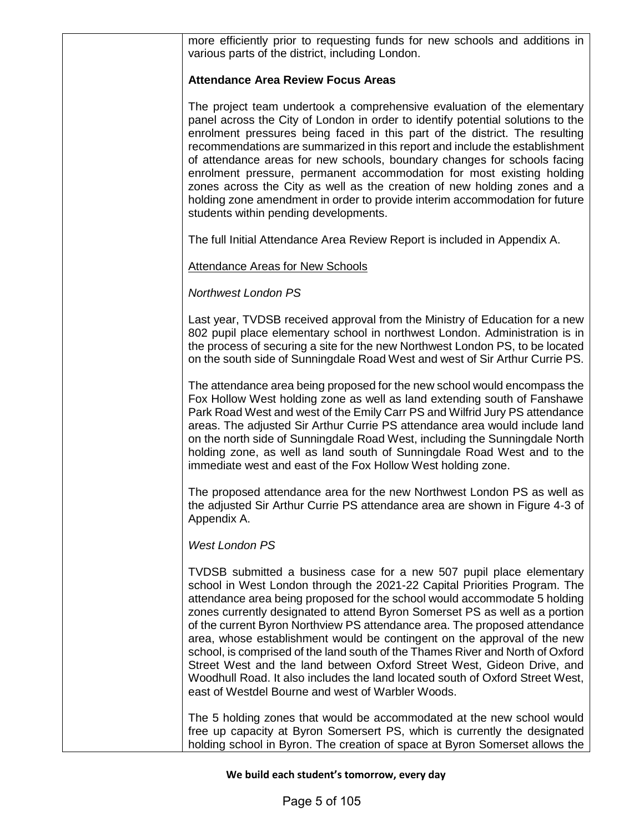more efficiently prior to requesting funds for new schools and additions in various parts of the district, including London.

### **Attendance Area Review Focus Areas**

The project team undertook a comprehensive evaluation of the elementary panel across the City of London in order to identify potential solutions to the enrolment pressures being faced in this part of the district. The resulting recommendations are summarized in this report and include the establishment of attendance areas for new schools, boundary changes for schools facing enrolment pressure, permanent accommodation for most existing holding zones across the City as well as the creation of new holding zones and a holding zone amendment in order to provide interim accommodation for future students within pending developments.

The full Initial Attendance Area Review Report is included in Appendix A.

### Attendance Areas for New Schools

### *Northwest London PS*

Last year, TVDSB received approval from the Ministry of Education for a new 802 pupil place elementary school in northwest London. Administration is in the process of securing a site for the new Northwest London PS, to be located on the south side of Sunningdale Road West and west of Sir Arthur Currie PS.

The attendance area being proposed for the new school would encompass the Fox Hollow West holding zone as well as land extending south of Fanshawe Park Road West and west of the Emily Carr PS and Wilfrid Jury PS attendance areas. The adjusted Sir Arthur Currie PS attendance area would include land on the north side of Sunningdale Road West, including the Sunningdale North holding zone, as well as land south of Sunningdale Road West and to the immediate west and east of the Fox Hollow West holding zone.

The proposed attendance area for the new Northwest London PS as well as the adjusted Sir Arthur Currie PS attendance area are shown in Figure 4-3 of Appendix A.

### *West London PS*

TVDSB submitted a business case for a new 507 pupil place elementary school in West London through the 2021-22 Capital Priorities Program. The attendance area being proposed for the school would accommodate 5 holding zones currently designated to attend Byron Somerset PS as well as a portion of the current Byron Northview PS attendance area. The proposed attendance area, whose establishment would be contingent on the approval of the new school, is comprised of the land south of the Thames River and North of Oxford Street West and the land between Oxford Street West, Gideon Drive, and Woodhull Road. It also includes the land located south of Oxford Street West, east of Westdel Bourne and west of Warbler Woods.

The 5 holding zones that would be accommodated at the new school would free up capacity at Byron Somersert PS, which is currently the designated holding school in Byron. The creation of space at Byron Somerset allows the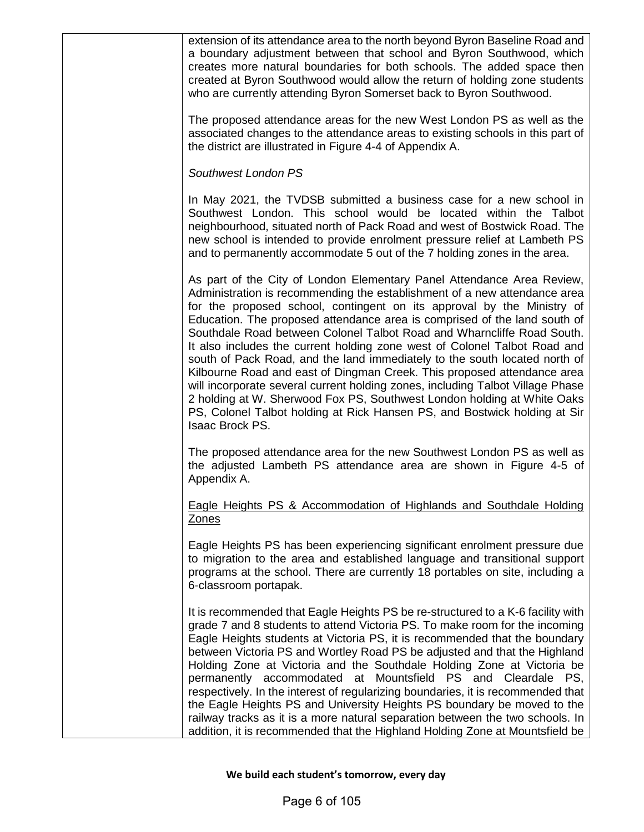| extension of its attendance area to the north beyond Byron Baseline Road and<br>a boundary adjustment between that school and Byron Southwood, which<br>creates more natural boundaries for both schools. The added space then<br>created at Byron Southwood would allow the return of holding zone students<br>who are currently attending Byron Somerset back to Byron Southwood.                                                                                                                                                                                                                                                                                                                                                                                                                                                                                                     |
|-----------------------------------------------------------------------------------------------------------------------------------------------------------------------------------------------------------------------------------------------------------------------------------------------------------------------------------------------------------------------------------------------------------------------------------------------------------------------------------------------------------------------------------------------------------------------------------------------------------------------------------------------------------------------------------------------------------------------------------------------------------------------------------------------------------------------------------------------------------------------------------------|
| The proposed attendance areas for the new West London PS as well as the<br>associated changes to the attendance areas to existing schools in this part of<br>the district are illustrated in Figure 4-4 of Appendix A.                                                                                                                                                                                                                                                                                                                                                                                                                                                                                                                                                                                                                                                                  |
| Southwest London PS                                                                                                                                                                                                                                                                                                                                                                                                                                                                                                                                                                                                                                                                                                                                                                                                                                                                     |
| In May 2021, the TVDSB submitted a business case for a new school in<br>Southwest London. This school would be located within the Talbot<br>neighbourhood, situated north of Pack Road and west of Bostwick Road. The<br>new school is intended to provide enrolment pressure relief at Lambeth PS<br>and to permanently accommodate 5 out of the 7 holding zones in the area.                                                                                                                                                                                                                                                                                                                                                                                                                                                                                                          |
| As part of the City of London Elementary Panel Attendance Area Review,<br>Administration is recommending the establishment of a new attendance area<br>for the proposed school, contingent on its approval by the Ministry of<br>Education. The proposed attendance area is comprised of the land south of<br>Southdale Road between Colonel Talbot Road and Wharncliffe Road South.<br>It also includes the current holding zone west of Colonel Talbot Road and<br>south of Pack Road, and the land immediately to the south located north of<br>Kilbourne Road and east of Dingman Creek. This proposed attendance area<br>will incorporate several current holding zones, including Talbot Village Phase<br>2 holding at W. Sherwood Fox PS, Southwest London holding at White Oaks<br>PS, Colonel Talbot holding at Rick Hansen PS, and Bostwick holding at Sir<br>Isaac Brock PS. |
| The proposed attendance area for the new Southwest London PS as well as<br>the adjusted Lambeth PS attendance area are shown in Figure 4-5 of<br>Appendix A.                                                                                                                                                                                                                                                                                                                                                                                                                                                                                                                                                                                                                                                                                                                            |
| Eagle Heights PS & Accommodation of Highlands and Southdale Holding<br>Zones                                                                                                                                                                                                                                                                                                                                                                                                                                                                                                                                                                                                                                                                                                                                                                                                            |
| Eagle Heights PS has been experiencing significant enrolment pressure due<br>to migration to the area and established language and transitional support<br>programs at the school. There are currently 18 portables on site, including a<br>6-classroom portapak.                                                                                                                                                                                                                                                                                                                                                                                                                                                                                                                                                                                                                       |
| It is recommended that Eagle Heights PS be re-structured to a K-6 facility with<br>grade 7 and 8 students to attend Victoria PS. To make room for the incoming<br>Eagle Heights students at Victoria PS, it is recommended that the boundary<br>between Victoria PS and Wortley Road PS be adjusted and that the Highland<br>Holding Zone at Victoria and the Southdale Holding Zone at Victoria be<br>permanently accommodated at Mountsfield PS and Cleardale PS,<br>respectively. In the interest of regularizing boundaries, it is recommended that<br>the Eagle Heights PS and University Heights PS boundary be moved to the<br>railway tracks as it is a more natural separation between the two schools. In<br>addition, it is recommended that the Highland Holding Zone at Mountsfield be                                                                                     |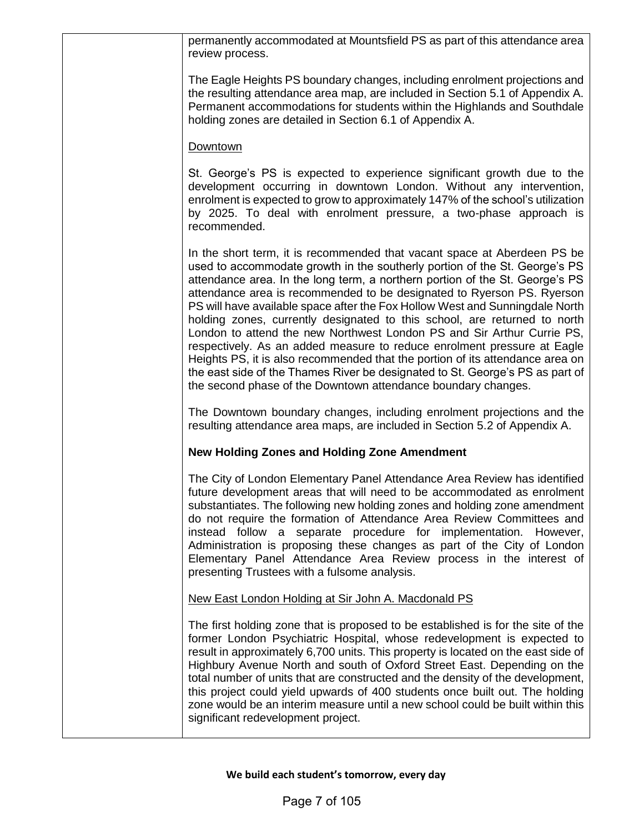| permanently accommodated at Mountsfield PS as part of this attendance area<br>review process.                                                                                                                                                                                                                                                                                                                                                                                                                                                                                                                                                                                                                                                                                                                                                                         |
|-----------------------------------------------------------------------------------------------------------------------------------------------------------------------------------------------------------------------------------------------------------------------------------------------------------------------------------------------------------------------------------------------------------------------------------------------------------------------------------------------------------------------------------------------------------------------------------------------------------------------------------------------------------------------------------------------------------------------------------------------------------------------------------------------------------------------------------------------------------------------|
| The Eagle Heights PS boundary changes, including enrolment projections and<br>the resulting attendance area map, are included in Section 5.1 of Appendix A.<br>Permanent accommodations for students within the Highlands and Southdale<br>holding zones are detailed in Section 6.1 of Appendix A.                                                                                                                                                                                                                                                                                                                                                                                                                                                                                                                                                                   |
| Downtown                                                                                                                                                                                                                                                                                                                                                                                                                                                                                                                                                                                                                                                                                                                                                                                                                                                              |
| St. George's PS is expected to experience significant growth due to the<br>development occurring in downtown London. Without any intervention,<br>enrolment is expected to grow to approximately 147% of the school's utilization<br>by 2025. To deal with enrolment pressure, a two-phase approach is<br>recommended.                                                                                                                                                                                                                                                                                                                                                                                                                                                                                                                                                |
| In the short term, it is recommended that vacant space at Aberdeen PS be<br>used to accommodate growth in the southerly portion of the St. George's PS<br>attendance area. In the long term, a northern portion of the St. George's PS<br>attendance area is recommended to be designated to Ryerson PS. Ryerson<br>PS will have available space after the Fox Hollow West and Sunningdale North<br>holding zones, currently designated to this school, are returned to north<br>London to attend the new Northwest London PS and Sir Arthur Currie PS,<br>respectively. As an added measure to reduce enrolment pressure at Eagle<br>Heights PS, it is also recommended that the portion of its attendance area on<br>the east side of the Thames River be designated to St. George's PS as part of<br>the second phase of the Downtown attendance boundary changes. |
| The Downtown boundary changes, including enrolment projections and the<br>resulting attendance area maps, are included in Section 5.2 of Appendix A.                                                                                                                                                                                                                                                                                                                                                                                                                                                                                                                                                                                                                                                                                                                  |
| <b>New Holding Zones and Holding Zone Amendment</b>                                                                                                                                                                                                                                                                                                                                                                                                                                                                                                                                                                                                                                                                                                                                                                                                                   |
| The City of London Elementary Panel Attendance Area Review has identified<br>future development areas that will need to be accommodated as enrolment<br>substantiates. The following new holding zones and holding zone amendment<br>do not require the formation of Attendance Area Review Committees and<br>instead follow a separate procedure for implementation. However,<br>Administration is proposing these changes as part of the City of London<br>Elementary Panel Attendance Area Review process in the interest of<br>presenting Trustees with a fulsome analysis.                                                                                                                                                                                                                                                                                       |
| New East London Holding at Sir John A. Macdonald PS                                                                                                                                                                                                                                                                                                                                                                                                                                                                                                                                                                                                                                                                                                                                                                                                                   |
| The first holding zone that is proposed to be established is for the site of the<br>former London Psychiatric Hospital, whose redevelopment is expected to<br>result in approximately 6,700 units. This property is located on the east side of<br>Highbury Avenue North and south of Oxford Street East. Depending on the<br>total number of units that are constructed and the density of the development,<br>this project could yield upwards of 400 students once built out. The holding<br>zone would be an interim measure until a new school could be built within this<br>significant redevelopment project.                                                                                                                                                                                                                                                  |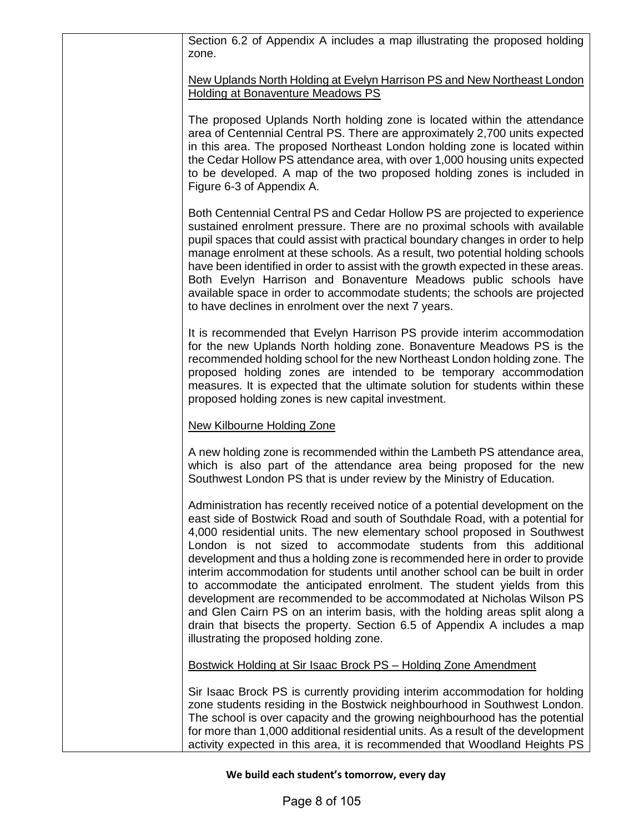| Section 6.2 of Appendix A includes a map illustrating the proposed holding<br>zone.                                                                                                                                                                                                                                                                                                                                                                                                                                                                                                                                                                                                                                                                                                                                                    |
|----------------------------------------------------------------------------------------------------------------------------------------------------------------------------------------------------------------------------------------------------------------------------------------------------------------------------------------------------------------------------------------------------------------------------------------------------------------------------------------------------------------------------------------------------------------------------------------------------------------------------------------------------------------------------------------------------------------------------------------------------------------------------------------------------------------------------------------|
| <u>New Uplands North Holding at Evelyn Harrison PS and New Northeast London</u><br>Holding at Bonaventure Meadows PS                                                                                                                                                                                                                                                                                                                                                                                                                                                                                                                                                                                                                                                                                                                   |
| The proposed Uplands North holding zone is located within the attendance<br>area of Centennial Central PS. There are approximately 2,700 units expected<br>in this area. The proposed Northeast London holding zone is located within<br>the Cedar Hollow PS attendance area, with over 1,000 housing units expected<br>to be developed. A map of the two proposed holding zones is included in<br>Figure 6-3 of Appendix A.                                                                                                                                                                                                                                                                                                                                                                                                           |
| Both Centennial Central PS and Cedar Hollow PS are projected to experience<br>sustained enrolment pressure. There are no proximal schools with available<br>pupil spaces that could assist with practical boundary changes in order to help<br>manage enrolment at these schools. As a result, two potential holding schools<br>have been identified in order to assist with the growth expected in these areas.<br>Both Evelyn Harrison and Bonaventure Meadows public schools have<br>available space in order to accommodate students; the schools are projected<br>to have declines in enrolment over the next 7 years.                                                                                                                                                                                                            |
| It is recommended that Evelyn Harrison PS provide interim accommodation<br>for the new Uplands North holding zone. Bonaventure Meadows PS is the<br>recommended holding school for the new Northeast London holding zone. The<br>proposed holding zones are intended to be temporary accommodation<br>measures. It is expected that the ultimate solution for students within these<br>proposed holding zones is new capital investment.                                                                                                                                                                                                                                                                                                                                                                                               |
| New Kilbourne Holding Zone                                                                                                                                                                                                                                                                                                                                                                                                                                                                                                                                                                                                                                                                                                                                                                                                             |
| A new holding zone is recommended within the Lambeth PS attendance area,<br>which is also part of the attendance area being proposed for the new<br>Southwest London PS that is under review by the Ministry of Education.                                                                                                                                                                                                                                                                                                                                                                                                                                                                                                                                                                                                             |
| Administration has recently received notice of a potential development on the<br>east side of Bostwick Road and south of Southdale Road, with a potential for<br>4,000 residential units. The new elementary school proposed in Southwest<br>London is not sized to accommodate students from this additional<br>development and thus a holding zone is recommended here in order to provide<br>interim accommodation for students until another school can be built in order<br>to accommodate the anticipated enrolment. The student yields from this<br>development are recommended to be accommodated at Nicholas Wilson PS<br>and Glen Cairn PS on an interim basis, with the holding areas split along a<br>drain that bisects the property. Section 6.5 of Appendix A includes a map<br>illustrating the proposed holding zone. |
| Bostwick Holding at Sir Isaac Brock PS - Holding Zone Amendment                                                                                                                                                                                                                                                                                                                                                                                                                                                                                                                                                                                                                                                                                                                                                                        |
| Sir Isaac Brock PS is currently providing interim accommodation for holding<br>zone students residing in the Bostwick neighbourhood in Southwest London.<br>The school is over capacity and the growing neighbourhood has the potential<br>for more than 1,000 additional residential units. As a result of the development<br>activity expected in this area, it is recommended that Woodland Heights PS                                                                                                                                                                                                                                                                                                                                                                                                                              |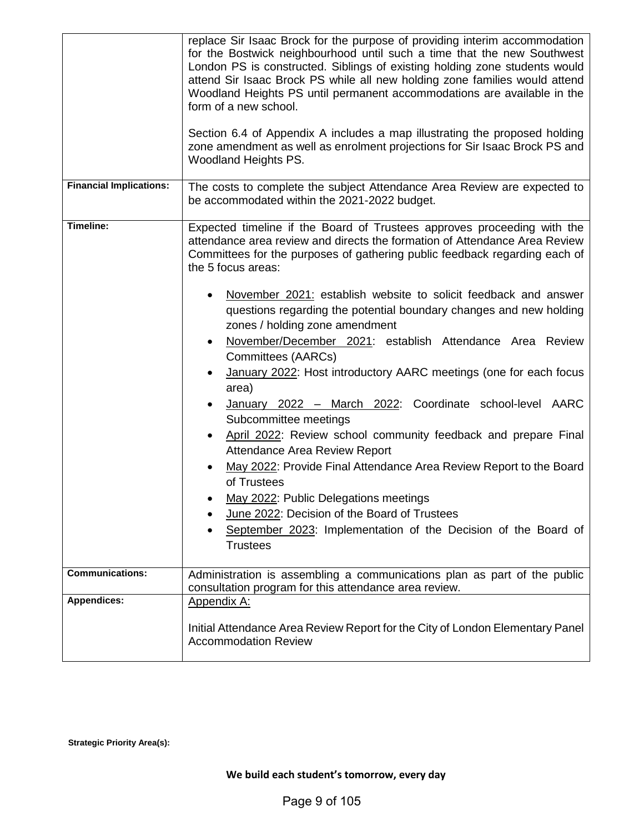|                                | replace Sir Isaac Brock for the purpose of providing interim accommodation<br>for the Bostwick neighbourhood until such a time that the new Southwest<br>London PS is constructed. Siblings of existing holding zone students would<br>attend Sir Isaac Brock PS while all new holding zone families would attend<br>Woodland Heights PS until permanent accommodations are available in the<br>form of a new school.<br>Section 6.4 of Appendix A includes a map illustrating the proposed holding<br>zone amendment as well as enrolment projections for Sir Isaac Brock PS and<br>Woodland Heights PS.                                                                                                                                                                                                                                                                                                                                                                                                                                                           |
|--------------------------------|---------------------------------------------------------------------------------------------------------------------------------------------------------------------------------------------------------------------------------------------------------------------------------------------------------------------------------------------------------------------------------------------------------------------------------------------------------------------------------------------------------------------------------------------------------------------------------------------------------------------------------------------------------------------------------------------------------------------------------------------------------------------------------------------------------------------------------------------------------------------------------------------------------------------------------------------------------------------------------------------------------------------------------------------------------------------|
| <b>Financial Implications:</b> | The costs to complete the subject Attendance Area Review are expected to<br>be accommodated within the 2021-2022 budget.                                                                                                                                                                                                                                                                                                                                                                                                                                                                                                                                                                                                                                                                                                                                                                                                                                                                                                                                            |
| Timeline:                      | Expected timeline if the Board of Trustees approves proceeding with the<br>attendance area review and directs the formation of Attendance Area Review<br>Committees for the purposes of gathering public feedback regarding each of<br>the 5 focus areas:<br>November 2021: establish website to solicit feedback and answer<br>questions regarding the potential boundary changes and new holding<br>zones / holding zone amendment<br>November/December 2021: establish Attendance Area Review<br>Committees (AARCs)<br>January 2022: Host introductory AARC meetings (one for each focus<br>area)<br>January 2022 - March 2022: Coordinate school-level AARC<br>Subcommittee meetings<br>April 2022: Review school community feedback and prepare Final<br>٠<br>Attendance Area Review Report<br>May 2022: Provide Final Attendance Area Review Report to the Board<br>of Trustees<br>May 2022: Public Delegations meetings<br>June 2022: Decision of the Board of Trustees<br>September 2023: Implementation of the Decision of the Board of<br><b>Trustees</b> |
| <b>Communications:</b>         | Administration is assembling a communications plan as part of the public<br>consultation program for this attendance area review.                                                                                                                                                                                                                                                                                                                                                                                                                                                                                                                                                                                                                                                                                                                                                                                                                                                                                                                                   |
| <b>Appendices:</b>             | <b>Appendix A:</b><br>Initial Attendance Area Review Report for the City of London Elementary Panel<br><b>Accommodation Review</b>                                                                                                                                                                                                                                                                                                                                                                                                                                                                                                                                                                                                                                                                                                                                                                                                                                                                                                                                  |